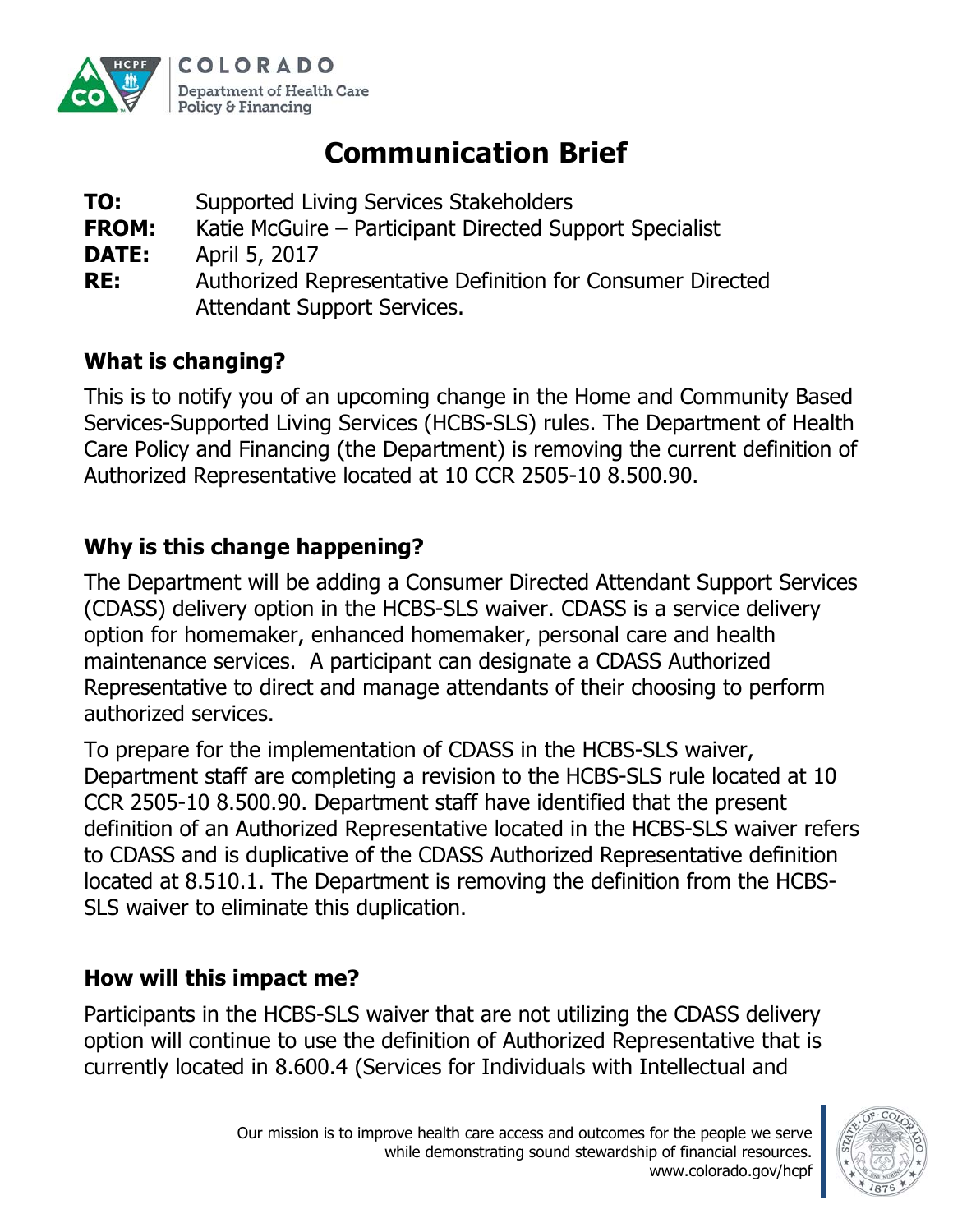

# **Communication Brief**

- **TO:** Supported Living Services Stakeholders **FROM:** Katie McGuire – Participant Directed Support Specialist
- **DATE:** April 5, 2017
- **RE:** Authorized Representative Definition for Consumer Directed Attendant Support Services.

## **What is changing?**

This is to notify you of an upcoming change in the Home and Community Based Services-Supported Living Services (HCBS-SLS) rules. The Department of Health Care Policy and Financing (the Department) is removing the current definition of Authorized Representative located at 10 CCR 2505-10 8.500.90.

# **Why is this change happening?**

The Department will be adding a Consumer Directed Attendant Support Services (CDASS) delivery option in the HCBS-SLS waiver. CDASS is a service delivery option for homemaker, enhanced homemaker, personal care and health maintenance services. A participant can designate a CDASS Authorized Representative to direct and manage attendants of their choosing to perform authorized services.

To prepare for the implementation of CDASS in the HCBS-SLS waiver, Department staff are completing a revision to the HCBS-SLS rule located at 10 CCR 2505-10 8.500.90. Department staff have identified that the present definition of an Authorized Representative located in the HCBS-SLS waiver refers to CDASS and is duplicative of the CDASS Authorized Representative definition located at 8.510.1. The Department is removing the definition from the HCBS-SLS waiver to eliminate this duplication.

## **How will this impact me?**

Participants in the HCBS-SLS waiver that are not utilizing the CDASS delivery option will continue to use the definition of Authorized Representative that is currently located in 8.600.4 (Services for Individuals with Intellectual and